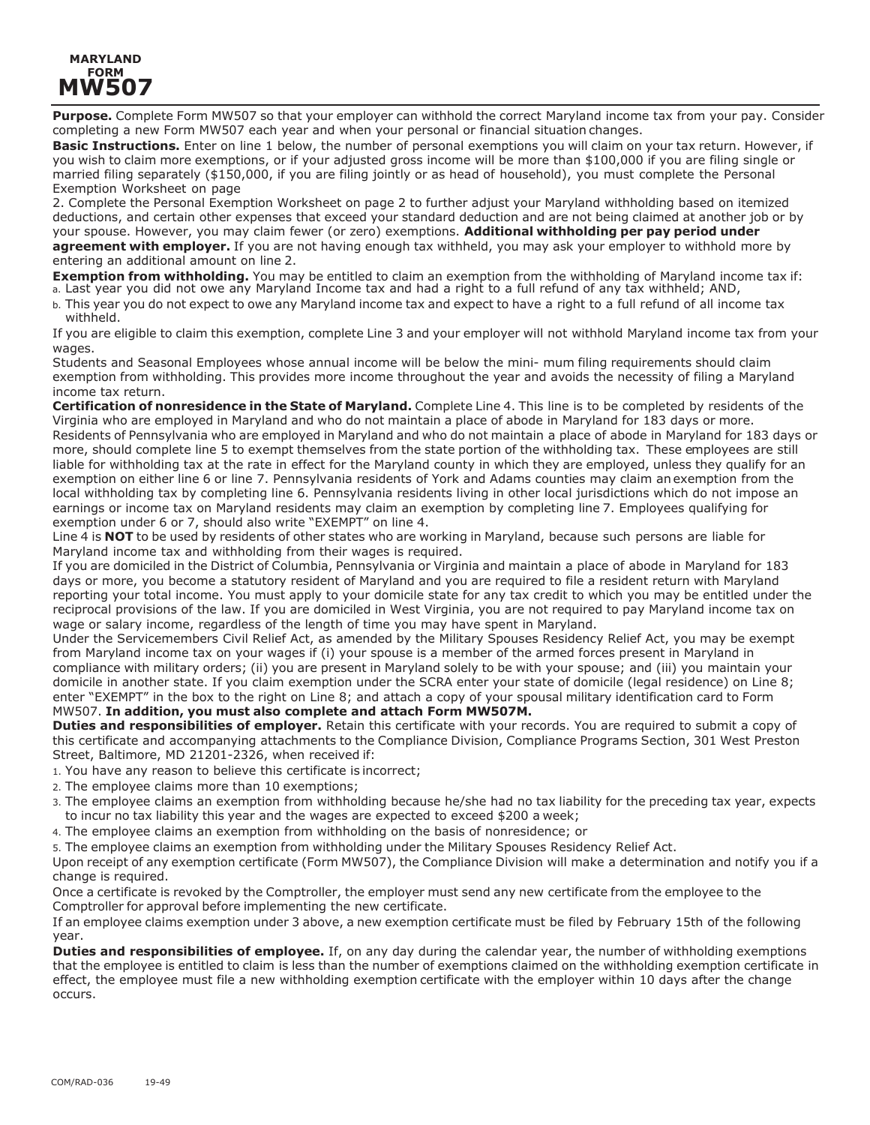## **MARYLAND FORM MW507**

**Purpose.** Complete Form MW507 so that your employer can withhold the correct Maryland income tax from your pay. Consider completing a new Form MW507 each year and when your personal or financial situation changes.

**Basic Instructions.** Enter on line 1 below, the number of personal exemptions you will claim on your tax return. However, if you wish to claim more exemptions, or if your adjusted gross income will be more than \$100,000 if you are filing single or married filing separately (\$150,000, if you are filing jointly or as head of household), you must complete the Personal Exemption Worksheet on page

2. Complete the Personal Exemption Worksheet on page 2 to further adjust your Maryland withholding based on itemized deductions, and certain other expenses that exceed your standard deduction and are not being claimed at another job or by your spouse. However, you may claim fewer (or zero) exemptions. **Additional withholding per pay period under agreement with employer.** If you are not having enough tax withheld, you may ask your employer to withhold more by entering an additional amount on line 2.

**Exemption from withholding.** You may be entitled to claim an exemption from the withholding of Maryland income tax if: a. Last year you did not owe any Maryland Income tax and had a right to a full refund of any tax withheld; AND,

b. This year you do not expect to owe any Maryland income tax and expect to have a right to a full refund of all income tax withheld.

If you are eligible to claim this exemption, complete Line 3 and your employer will not withhold Maryland income tax from your wages.

Students and Seasonal Employees whose annual income will be below the mini- mum filing requirements should claim exemption from withholding. This provides more income throughout the year and avoids the necessity of filing a Maryland income tax return.

**Certification of nonresidence in the State of Maryland.** Complete Line 4. This line is to be completed by residents of the Virginia who are employed in Maryland and who do not maintain a place of abode in Maryland for 183 days or more. Residents of Pennsylvania who are employed in Maryland and who do not maintain a place of abode in Maryland for 183 days or more, should complete line 5 to exempt themselves from the state portion of the withholding tax. These employees are still liable for withholding tax at the rate in effect for the Maryland county in which they are employed, unless they qualify for an exemption on either line 6 or line 7. Pennsylvania residents of York and Adams counties may claim an exemption from the local withholding tax by completing line 6. Pennsylvania residents living in other local jurisdictions which do not impose an earnings or income tax on Maryland residents may claim an exemption by completing line 7. Employees qualifying for exemption under 6 or 7, should also write "EXEMPT" on line 4.

Line 4 is **NOT** to be used by residents of other states who are working in Maryland, because such persons are liable for Maryland income tax and withholding from their wages is required.

If you are domiciled in the District of Columbia, Pennsylvania or Virginia and maintain a place of abode in Maryland for 183 days or more, you become a statutory resident of Maryland and you are required to file a resident return with Maryland reporting your total income. You must apply to your domicile state for any tax credit to which you may be entitled under the reciprocal provisions of the law. If you are domiciled in West Virginia, you are not required to pay Maryland income tax on wage or salary income, regardless of the length of time you may have spent in Maryland.

Under the Servicemembers Civil Relief Act, as amended by the Military Spouses Residency Relief Act, you may be exempt from Maryland income tax on your wages if (i) your spouse is a member of the armed forces present in Maryland in compliance with military orders; (ii) you are present in Maryland solely to be with your spouse; and (iii) you maintain your domicile in another state. If you claim exemption under the SCRA enter your state of domicile (legal residence) on Line 8; enter "EXEMPT" in the box to the right on Line 8; and attach a copy of your spousal military identification card to Form MW507. **In addition, you must also complete and attach Form MW507M.**

**Duties and responsibilities of employer.** Retain this certificate with your records. You are required to submit a copy of this certificate and accompanying attachments to the Compliance Division, Compliance Programs Section, 301 West Preston Street, Baltimore, MD 21201-2326, when received if:

- 1. You have any reason to believe this certificate is incorrect;
- 2. The employee claims more than 10 exemptions;
- 3. The employee claims an exemption from withholding because he/she had no tax liability for the preceding tax year, expects to incur no tax liability this year and the wages are expected to exceed \$200 a week;
- 4. The employee claims an exemption from withholding on the basis of nonresidence; or

5. The employee claims an exemption from withholding under the Military Spouses Residency Relief Act.

Upon receipt of any exemption certificate (Form MW507), the Compliance Division will make a determination and notify you if a change is required.

Once a certificate is revoked by the Comptroller, the employer must send any new certificate from the employee to the Comptroller for approval before implementing the new certificate.

If an employee claims exemption under 3 above, a new exemption certificate must be filed by February 15th of the following year.

**Duties and responsibilities of employee.** If, on any day during the calendar year, the number of withholding exemptions that the employee is entitled to claim is less than the number of exemptions claimed on the withholding exemption certificate in effect, the employee must file a new withholding exemption certificate with the employer within 10 days after the change occurs.